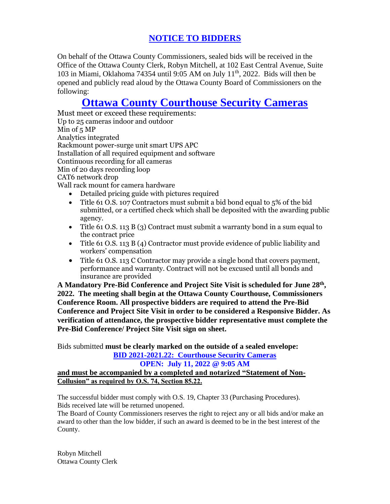# **NOTICE TO BIDDERS**

On behalf of the Ottawa County Commissioners, sealed bids will be received in the Office of the Ottawa County Clerk, Robyn Mitchell, at 102 East Central Avenue, Suite 103 in Miami, Oklahoma 74354 until 9:05 AM on July 11th, 2022. Bids will then be opened and publicly read aloud by the Ottawa County Board of Commissioners on the following:

# **Ottawa County Courthouse Security Cameras**

Must meet or exceed these requirements: Up to 25 cameras indoor and outdoor Min of 5 MP Analytics integrated Rackmount power-surge unit smart UPS APC Installation of all required equipment and software Continuous recording for all cameras Min of 20 days recording loop CAT6 network drop Wall rack mount for camera hardware

- Detailed pricing guide with pictures required
- Title 61 O.S. 107 Contractors must submit a bid bond equal to 5% of the bid submitted, or a certified check which shall be deposited with the awarding public agency.
- Title 61 O.S. 113 B (3) Contract must submit a warranty bond in a sum equal to the contract price
- Title 61 O.S. 113 B (4) Contractor must provide evidence of public liability and workers' compensation
- Title 61 O.S. 113 C Contractor may provide a single bond that covers payment, performance and warranty. Contract will not be excused until all bonds and insurance are provided

**A Mandatory Pre-Bid Conference and Project Site Visit is scheduled for June 28th , 2022. The meeting shall begin at the Ottawa County Courthouse, Commissioners Conference Room. All prospective bidders are required to attend the Pre-Bid Conference and Project Site Visit in order to be considered a Responsive Bidder. As verification of attendance, the prospective bidder representative must complete the Pre-Bid Conference/ Project Site Visit sign on sheet.**

Bids submitted **must be clearly marked on the outside of a sealed envelope: BID 2021-2021.22: Courthouse Security Cameras**

## **OPEN: July 11, 2022 @ 9:05 AM and must be accompanied by a completed and notarized "Statement of Non-Collusion" as required by O.S. 74, Section 85.22.**

The successful bidder must comply with O.S. 19, Chapter 33 (Purchasing Procedures). Bids received late will be returned unopened.

The Board of County Commissioners reserves the right to reject any or all bids and/or make an award to other than the low bidder, if such an award is deemed to be in the best interest of the County.

Robyn Mitchell Ottawa County Clerk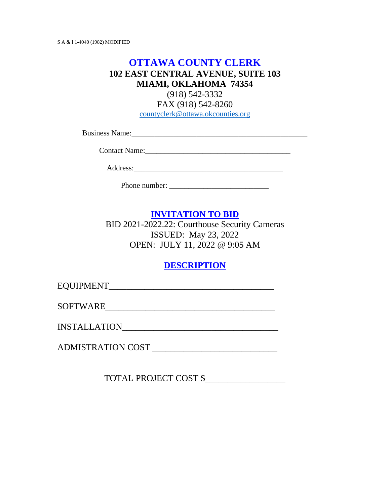# **OTTAWA COUNTY CLERK 102 EAST CENTRAL AVENUE, SUITE 103 MIAMI, OKLAHOMA 74354**

(918) 542-3332

FAX (918) 542-8260 [countyclerk@ottawa.okcounties.org](mailto:countyclerk@ottawa.okcounties.org)

Business Name:\_\_\_\_\_\_\_\_\_\_\_\_\_\_\_\_\_\_\_\_\_\_\_\_\_\_\_\_\_\_\_\_\_\_\_\_\_\_\_\_\_\_\_\_\_\_

Contact Name:\_\_\_\_\_\_\_\_\_\_\_\_\_\_\_\_\_\_\_\_\_\_\_\_\_\_\_\_\_\_\_\_\_\_\_\_\_\_

Address:\_\_\_\_\_\_\_\_\_\_\_\_\_\_\_\_\_\_\_\_\_\_\_\_\_\_\_\_\_\_\_\_\_\_\_\_\_\_\_

Phone number:

## **INVITATION TO BID**

BID 2021-2022.22: Courthouse Security Cameras ISSUED: May 23, 2022 OPEN: JULY 11, 2022 @ 9:05 AM

### **DESCRIPTION**

EQUIPMENT

SOFTWARE

INSTALLATION\_\_\_\_\_\_\_\_\_\_\_\_\_\_\_\_\_\_\_\_\_\_\_\_\_\_\_\_\_\_\_\_\_\_\_

ADMISTRATION COST \_\_\_\_\_\_\_\_\_\_\_\_\_\_\_\_\_\_\_\_\_\_\_\_\_\_\_\_

TOTAL PROJECT COST \$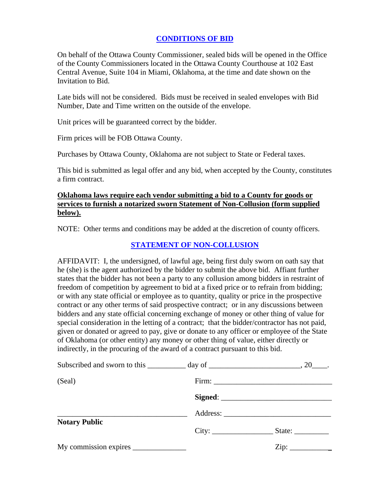#### **CONDITIONS OF BID**

On behalf of the Ottawa County Commissioner, sealed bids will be opened in the Office of the County Commissioners located in the Ottawa County Courthouse at 102 East Central Avenue, Suite 104 in Miami, Oklahoma, at the time and date shown on the Invitation to Bid.

Late bids will not be considered. Bids must be received in sealed envelopes with Bid Number, Date and Time written on the outside of the envelope.

Unit prices will be guaranteed correct by the bidder.

Firm prices will be FOB Ottawa County.

Purchases by Ottawa County, Oklahoma are not subject to State or Federal taxes.

This bid is submitted as legal offer and any bid, when accepted by the County, constitutes a firm contract.

#### **Oklahoma laws require each vendor submitting a bid to a County for goods or services to furnish a notarized sworn Statement of Non-Collusion (form supplied below).**

NOTE: Other terms and conditions may be added at the discretion of county officers.

#### **STATEMENT OF NON-COLLUSION**

AFFIDAVIT: I, the undersigned, of lawful age, being first duly sworn on oath say that he (she) is the agent authorized by the bidder to submit the above bid. Affiant further states that the bidder has not been a party to any collusion among bidders in restraint of freedom of competition by agreement to bid at a fixed price or to refrain from bidding; or with any state official or employee as to quantity, quality or price in the prospective contract or any other terms of said prospective contract; or in any discussions between bidders and any state official concerning exchange of money or other thing of value for special consideration in the letting of a contract; that the bidder/contractor has not paid, given or donated or agreed to pay, give or donate to any officer or employee of the State of Oklahoma (or other entity) any money or other thing of value, either directly or indirectly, in the procuring of the award of a contract pursuant to this bid.

| (Seal)<br><b>Notary Public</b> |  |
|--------------------------------|--|
|                                |  |
|                                |  |
|                                |  |
|                                |  |